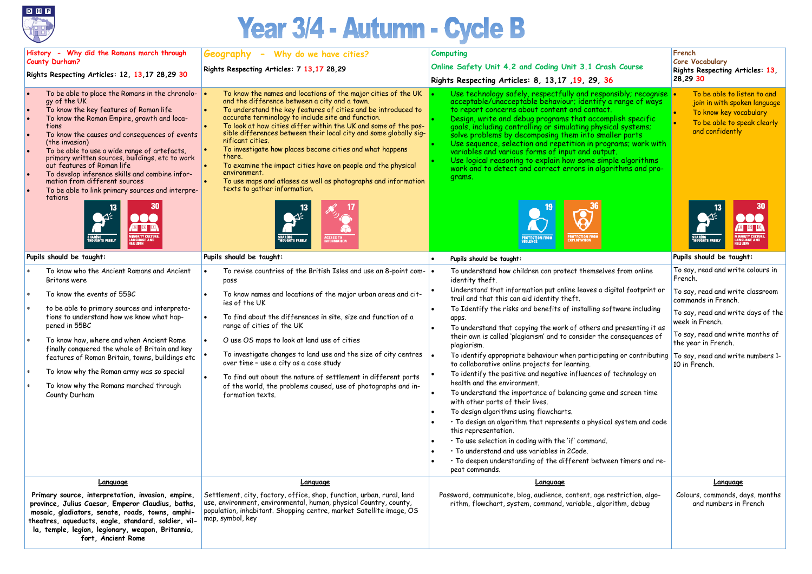

## Year 3/4 - Autumn - Cycle B

| History - Why did the Romans march through<br><b>County Durham?</b>                                                                                                                                                                                                                                                                                                                                                                                                                                                           | <b>Geography</b> - Why do we have cities?                                                                                                                                                                                                                                                                                                                                                                                                                                                                                                                                                                                                                 | <b>Computing</b>                                                                                                                                                                                                                                                                                                                                                                                                                                                                                                                                                                                                                                                                                                                                                                                                                                                                                     | French<br><b>Core Vocabulary</b>                                                                                                                                                                                                  |  |
|-------------------------------------------------------------------------------------------------------------------------------------------------------------------------------------------------------------------------------------------------------------------------------------------------------------------------------------------------------------------------------------------------------------------------------------------------------------------------------------------------------------------------------|-----------------------------------------------------------------------------------------------------------------------------------------------------------------------------------------------------------------------------------------------------------------------------------------------------------------------------------------------------------------------------------------------------------------------------------------------------------------------------------------------------------------------------------------------------------------------------------------------------------------------------------------------------------|------------------------------------------------------------------------------------------------------------------------------------------------------------------------------------------------------------------------------------------------------------------------------------------------------------------------------------------------------------------------------------------------------------------------------------------------------------------------------------------------------------------------------------------------------------------------------------------------------------------------------------------------------------------------------------------------------------------------------------------------------------------------------------------------------------------------------------------------------------------------------------------------------|-----------------------------------------------------------------------------------------------------------------------------------------------------------------------------------------------------------------------------------|--|
| Rights Respecting Articles: 12, 13,17 28,29 30                                                                                                                                                                                                                                                                                                                                                                                                                                                                                | Rights Respecting Articles: 7 13,17 28,29                                                                                                                                                                                                                                                                                                                                                                                                                                                                                                                                                                                                                 | Online Safety Unit 4.2 and Coding Unit 3.1 Crash Course                                                                                                                                                                                                                                                                                                                                                                                                                                                                                                                                                                                                                                                                                                                                                                                                                                              | Rights Respecting Articles: 13,                                                                                                                                                                                                   |  |
|                                                                                                                                                                                                                                                                                                                                                                                                                                                                                                                               |                                                                                                                                                                                                                                                                                                                                                                                                                                                                                                                                                                                                                                                           | Rights Respecting Articles: 8, 13, 17, 19, 29, 36                                                                                                                                                                                                                                                                                                                                                                                                                                                                                                                                                                                                                                                                                                                                                                                                                                                    | 28,29 30                                                                                                                                                                                                                          |  |
| To be able to place the Romans in the chronolo-<br>gy of the UK<br>To know the key features of Roman life<br>To know the Roman Empire, growth and loca-<br>tions<br>To know the causes and consequences of events<br>(the invasion)<br>To be able to use a wide range of artefacts,<br>primary written sources, buildings, etc to work<br>out features of Roman life<br>To develop inference skills and combine infor-<br>ه ا<br>mation from different sources<br>To be able to link primary sources and interpre-<br>tations | To know the names and locations of the major cities of the UK<br>and the difference between a city and a town.<br>To understand the key features of cities and be introduced to<br>accurate terminology to include site and function.<br>To look at how cities differ within the UK and some of the pos-<br>sible differences between their local city and some globally sig-<br>nificant cities.<br>To investigate how places become cities and what happens<br>there.<br>To examine the impact cities have on people and the physical<br>environment.<br>To use maps and atlases as well as photographs and information<br>texts to gather information. | Use technology safely, respectfully and responsibly; recognise<br>acceptable/unacceptable behaviour; identify a range of ways<br>to report concerns about content and contact.<br>Design, write and debug programs that accomplish specific<br>goals, including controlling or simulating physical systems;<br>solve problems by decomposing them into smaller parts<br>Use sequence, selection and repetition in programs; work with<br>variables and various forms of input and output.<br>Use logical reasoning to explain how some simple algorithms<br>work and to detect and correct errors in algorithms and pro-<br>grams.                                                                                                                                                                                                                                                                   | To be able to listen to and<br>join in with spoken language<br>To know key vocabulary<br>To be able to speak clearly<br>and confidently                                                                                           |  |
|                                                                                                                                                                                                                                                                                                                                                                                                                                                                                                                               | SHAR <mark>i</mark> ng<br>Thoughts freely                                                                                                                                                                                                                                                                                                                                                                                                                                                                                                                                                                                                                 | <b>PROTECTION FROM</b><br>EXPLOITATION<br><b>PROTECTION FROM</b><br>VIOLENCE                                                                                                                                                                                                                                                                                                                                                                                                                                                                                                                                                                                                                                                                                                                                                                                                                         |                                                                                                                                                                                                                                   |  |
| Pupils should be taught:                                                                                                                                                                                                                                                                                                                                                                                                                                                                                                      | Pupils should be taught:                                                                                                                                                                                                                                                                                                                                                                                                                                                                                                                                                                                                                                  | Pupils should be taught:                                                                                                                                                                                                                                                                                                                                                                                                                                                                                                                                                                                                                                                                                                                                                                                                                                                                             | Pupils should be taught:                                                                                                                                                                                                          |  |
| To know who the Ancient Romans and Ancient<br>Britons were                                                                                                                                                                                                                                                                                                                                                                                                                                                                    | To revise countries of the British Isles and use an 8-point com- $\vert \bullet \vert$<br>pass                                                                                                                                                                                                                                                                                                                                                                                                                                                                                                                                                            | To understand how children can protect themselves from online<br>identity theft.                                                                                                                                                                                                                                                                                                                                                                                                                                                                                                                                                                                                                                                                                                                                                                                                                     | To say, read and write colours in<br>French.                                                                                                                                                                                      |  |
| To know the events of 55BC<br>to be able to primary sources and interpreta-<br>tions to understand how we know what hap-<br>pened in 55BC<br>To know how, where and when Ancient Rome<br>finally conquered the whole of Britain and key<br>features of Roman Britain, towns, buildings etc<br>To know why the Roman army was so special<br>To know why the Romans marched through<br>County Durham                                                                                                                            | To know names and locations of the major urban areas and cit-<br>ies of the UK<br>To find about the differences in site, size and function of a<br>range of cities of the UK<br>O use OS maps to look at land use of cities<br>To investigate changes to land use and the size of city centres $\ \bullet\ $<br>over time - use a city as a case study<br>To find out about the nature of settlement in different parts<br>of the world, the problems caused, use of photographs and in-<br>formation texts.                                                                                                                                              | Understand that information put online leaves a digital footprint or<br>trail and that this can aid identity theft.<br>To Identify the risks and benefits of installing software including<br>apps.<br>To understand that copying the work of others and presenting it as<br>their own is called 'plagiarism' and to consider the consequences of<br>plagiarism.<br>To identify appropriate behaviour when participating or contributing<br>to collaborative online projects for learning.<br>To identify the positive and negative influences of technology on<br>health and the environment.<br>To understand the importance of balancing game and screen time<br>with other parts of their lives.<br>To design algorithms using flowcharts.<br>· To design an algorithm that represents a physical system and code<br>this representation.<br>. To use selection in coding with the 'if' command. | To say, read and write classroom<br>commands in French.<br>To say, read and write days of the<br>week in French.<br>To say, read and write months of<br>the year in French.<br>To say, read and write numbers 1-<br>10 in French. |  |
|                                                                                                                                                                                                                                                                                                                                                                                                                                                                                                                               |                                                                                                                                                                                                                                                                                                                                                                                                                                                                                                                                                                                                                                                           | · To understand and use variables in 2Code.<br>· To deepen understanding of the different between timers and re-<br>peat commands.                                                                                                                                                                                                                                                                                                                                                                                                                                                                                                                                                                                                                                                                                                                                                                   |                                                                                                                                                                                                                                   |  |
| Language                                                                                                                                                                                                                                                                                                                                                                                                                                                                                                                      | Language                                                                                                                                                                                                                                                                                                                                                                                                                                                                                                                                                                                                                                                  | Language                                                                                                                                                                                                                                                                                                                                                                                                                                                                                                                                                                                                                                                                                                                                                                                                                                                                                             | <b>Language</b>                                                                                                                                                                                                                   |  |
| Primary source, interpretation, invasion, empire,<br>province, Julius Caesar, Emperor Claudius, baths,<br>mosaic, gladiators, senate, roads, towns, amphi-<br>theatres, aqueducts, eagle, standard, soldier, vil-<br>la, temple, legion, legionary, weapon, Britannia,<br>fort, Ancient Rome                                                                                                                                                                                                                                  | Settlement, city, factory, office, shop, function, urban, rural, land<br>use, environment, environmental, human, physical Country, county,<br>population, inhabitant. Shopping centre, market Satellite image, OS<br>map, symbol, key                                                                                                                                                                                                                                                                                                                                                                                                                     | Password, communicate, blog, audience, content, age restriction, algo-<br>rithm, flowchart, system, command, variable., algorithm, debug                                                                                                                                                                                                                                                                                                                                                                                                                                                                                                                                                                                                                                                                                                                                                             | Colours, commands, days, months<br>and numbers in French                                                                                                                                                                          |  |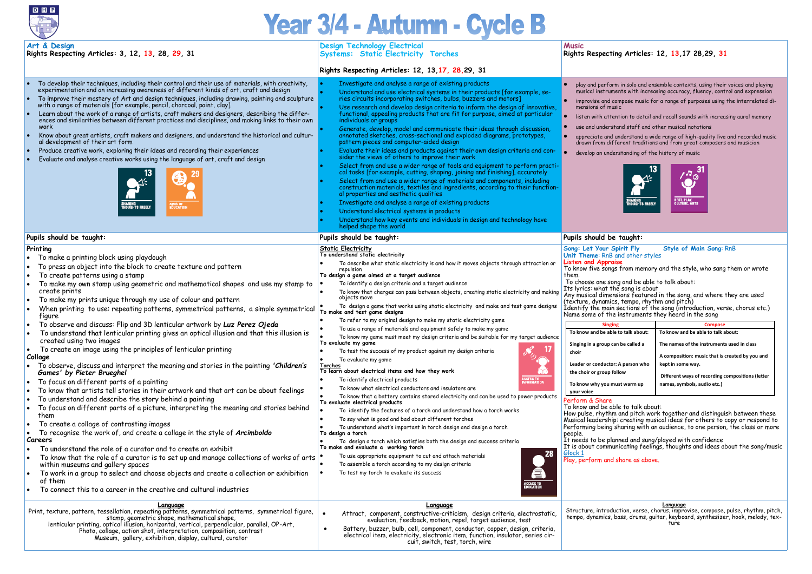

## Year 3/4 - Autumn - Cycle B

| Art & Design<br>Rights Respecting Articles: 3, 12, 13, 28, 29, 31                                                                                                                                                                                                                                                                                                                                                                                                                                                                                                                                                                                                                                                                                                                                                                                                                                                                                                                                                                                                                                                                                                                                                                                                                                                                                                                                                                                                                                                                                                                                                                                              | <b>Design Technology Electrical</b><br><b>Systems: Static Electricity Torches</b>                                                                                                                                                                                                                                                                                                                                                                                                                                                                                                                                                                                                                                                                                                                                                                                                                                                                                                                                                                                                                                                                                                                                                                                                                                                                                                                                                                                                                                                                                                                                                                                                                                                                          | <b>Music</b><br>Rights Respecting Articles: 12, 13,17 28,29, 31                                                                                                                                                                                                                                                                                                                                                                                                                                                                                                                                                                                                                                                                                                                                                                                                                                                                                                                                                                                                                                                                                                                                                                                                                                                                                                                                                                                                                                                                                          |
|----------------------------------------------------------------------------------------------------------------------------------------------------------------------------------------------------------------------------------------------------------------------------------------------------------------------------------------------------------------------------------------------------------------------------------------------------------------------------------------------------------------------------------------------------------------------------------------------------------------------------------------------------------------------------------------------------------------------------------------------------------------------------------------------------------------------------------------------------------------------------------------------------------------------------------------------------------------------------------------------------------------------------------------------------------------------------------------------------------------------------------------------------------------------------------------------------------------------------------------------------------------------------------------------------------------------------------------------------------------------------------------------------------------------------------------------------------------------------------------------------------------------------------------------------------------------------------------------------------------------------------------------------------------|------------------------------------------------------------------------------------------------------------------------------------------------------------------------------------------------------------------------------------------------------------------------------------------------------------------------------------------------------------------------------------------------------------------------------------------------------------------------------------------------------------------------------------------------------------------------------------------------------------------------------------------------------------------------------------------------------------------------------------------------------------------------------------------------------------------------------------------------------------------------------------------------------------------------------------------------------------------------------------------------------------------------------------------------------------------------------------------------------------------------------------------------------------------------------------------------------------------------------------------------------------------------------------------------------------------------------------------------------------------------------------------------------------------------------------------------------------------------------------------------------------------------------------------------------------------------------------------------------------------------------------------------------------------------------------------------------------------------------------------------------------|----------------------------------------------------------------------------------------------------------------------------------------------------------------------------------------------------------------------------------------------------------------------------------------------------------------------------------------------------------------------------------------------------------------------------------------------------------------------------------------------------------------------------------------------------------------------------------------------------------------------------------------------------------------------------------------------------------------------------------------------------------------------------------------------------------------------------------------------------------------------------------------------------------------------------------------------------------------------------------------------------------------------------------------------------------------------------------------------------------------------------------------------------------------------------------------------------------------------------------------------------------------------------------------------------------------------------------------------------------------------------------------------------------------------------------------------------------------------------------------------------------------------------------------------------------|
|                                                                                                                                                                                                                                                                                                                                                                                                                                                                                                                                                                                                                                                                                                                                                                                                                                                                                                                                                                                                                                                                                                                                                                                                                                                                                                                                                                                                                                                                                                                                                                                                                                                                | Rights Respecting Articles: 12, 13, 17, 28, 29, 31                                                                                                                                                                                                                                                                                                                                                                                                                                                                                                                                                                                                                                                                                                                                                                                                                                                                                                                                                                                                                                                                                                                                                                                                                                                                                                                                                                                                                                                                                                                                                                                                                                                                                                         |                                                                                                                                                                                                                                                                                                                                                                                                                                                                                                                                                                                                                                                                                                                                                                                                                                                                                                                                                                                                                                                                                                                                                                                                                                                                                                                                                                                                                                                                                                                                                          |
| To develop their techniques, including their control and their use of materials, with creativity,<br>experimentation and an increasing awareness of different kinds of art, craft and design<br>To improve their mastery of Art and design techniques, including drawing, painting and sculpture<br>$\bullet$<br>with a range of materials [for example, pencil, charcoal, paint, clay]<br>Learn about the work of a range of artists, craft makers and designers, describing the differ-<br>ences and similarities between different practices and disciplines, and making links to their own<br>work<br>Know about great artists, craft makers and designers, and understand the historical and cultur-<br>al development of their art form<br>Produce creative work, exploring their ideas and recording their experiences<br>Evaluate and analyse creative works using the language of art, craft and design<br>62<br>SHARING<br>THOUGHTS FREELY<br><b>UMS OF<br/>IDUCATION</b>                                                                                                                                                                                                                                                                                                                                                                                                                                                                                                                                                                                                                                                                            | Investigate and analyse a range of existing products<br>Understand and use electrical systems in their products [for example, se-<br>ries circuits incorporating switches, bulbs, buzzers and motors]<br>Use research and develop design criteria to inform the design of innovative,<br>functional, appealing products that are fit for purpose, aimed at particular<br>individuals or groups<br>Generate, develop, model and communicate their ideas through discussion,<br>annotated sketches, cross-sectional and exploded diagrams, prototypes,<br>pattern pieces and computer-aided design<br>Evaluate their ideas and products against their own design criteria and con-<br>sider the views of others to improve their work<br>Select from and use a wider range of tools and equipment to perform practi-<br>cal tasks [for example, cutting, shaping, joining and finishing], accurately<br>Select from and use a wider range of materials and components, including<br>construction materials, textiles and ingredients, according to their function-<br>al properties and aesthetic qualities<br>Investigate and analyse a range of existing products<br>Understand electrical systems in products<br>Understand how key events and individuals in design and technology have<br>helped shape the world                                                                                                                                                                                                                                                                                                                                                                                                                                        | play and perform in solo and ensemble contexts, using their voices and playing<br>musical instruments with increasing accuracy, fluency, control and expression<br>improvise and compose music for a range of purposes using the interrelated di-<br>mensions of music<br>listen with attention to detail and recall sounds with increasing aural memory<br>use and understand staff and other musical notations<br>appreciate and understand a wide range of high-quality live and recorded music<br>drawn from different traditions and from great composers and musician<br>develop an understanding of the history of music<br>$\mathbf{z}_\infty$<br><b>REST, PLAY,<br/>CULTURE, ARTS</b><br>.<br>SHARING<br>THOUGHTS FREELY                                                                                                                                                                                                                                                                                                                                                                                                                                                                                                                                                                                                                                                                                                                                                                                                                        |
| Pupils should be taught:                                                                                                                                                                                                                                                                                                                                                                                                                                                                                                                                                                                                                                                                                                                                                                                                                                                                                                                                                                                                                                                                                                                                                                                                                                                                                                                                                                                                                                                                                                                                                                                                                                       | Pupils should be taught:                                                                                                                                                                                                                                                                                                                                                                                                                                                                                                                                                                                                                                                                                                                                                                                                                                                                                                                                                                                                                                                                                                                                                                                                                                                                                                                                                                                                                                                                                                                                                                                                                                                                                                                                   | Pupils should be taught:                                                                                                                                                                                                                                                                                                                                                                                                                                                                                                                                                                                                                                                                                                                                                                                                                                                                                                                                                                                                                                                                                                                                                                                                                                                                                                                                                                                                                                                                                                                                 |
| Printing<br>To make a printing block using playdough<br>To press an object into the block to create texture and pattern<br>To create patterns using a stamp<br>To make my own stamp using geometric and mathematical shapes and use my stamp to<br>create prints<br>To make my prints unique through my use of colour and pattern<br>When printing to use: repeating patterns, symmetrical patterns, a simple symmetrical<br>figure<br>To observe and discuss: Flip and 3D lenticular artwork by Luz Perez Ojeda<br>To understand that lenticular printing gives an optical illusion and that this illusion is<br>created using two images<br>To create an image using the principles of lenticular printing<br>Collage<br>To observe, discuss and interpret the meaning and stories in the painting 'Children's<br>Games' by Pieter Brueghel<br>To focus on different parts of a painting<br>To know that artists tell stories in their artwork and that art can be about feelings<br>To understand and describe the story behind a painting<br>To focus on different parts of a picture, interpreting the meaning and stories behind<br>them<br>To create a collage of contrasting images<br>To recognise the work of, and create a collage in the style of Arcimboldo<br>Careers<br>To understand the role of a curator and to create an exhibit<br>To know that the role of a curator is to set up and manage collections of works of arts<br>within museums and gallery spaces<br>To work in a group to select and choose objects and create a collection or exhibition<br>of them<br>To connect this to a career in the creative and cultural industries | <b>Static Electricity</b><br>To understand static electricity<br>To describe what static electricity is and how it moves objects through attraction or<br>repulsion<br>To design a game aimed at a target audience<br>To identify a design criteria and a target audience<br>To know that charges can pass between objects, creating static electricity and making<br>objects move<br>To design a game that works using static electricity and make and test game designs<br>To make and test game designs<br>To refer to my original design to make my static electricity game<br>To use a range of materials and equipment safely to make my game<br>To know my game must meet my design criteria and be suitable for my target audience<br>To evaluate my game<br>$\leq 17$<br>To test the success of my product against my design criteria<br>To evaluate my game<br><u>Torches</u><br>To learn about electrical items and how they work<br><b>CCESS TO</b><br>NFORMATION<br>To identify electrical products<br>To know what electrical conductors and insulators are<br>To know that a battery contains stored electricity and can be used to power products<br>To evaluate electrical products<br>To identify the features of a torch and understand how a torch works<br>To say what is good and bad about different torches<br>To understand what's important in torch design and design a torch<br>To design a torch<br>To design a torch which satisfies both the design and success criteria<br>To make and evaluate a working torch<br>28<br>To use appropriate equipment to cut and attach materials<br>To assemble a torch according to my design criteria<br>a<br>To test my torch to evaluate its success<br><b>ACCESS TO</b><br>EDUCATION | Style of Main Song: RnB<br>Song: Let Your Spirit Fly<br>Unit Theme: RnB and other styles<br><b>Listen and Appraise</b><br>To know five songs from memory and the style, who sang them or wrote<br>them.<br>To choose one song and be able to talk about:<br>Its lyrics: what the song is about<br>Any musical dimensions featured in the song, and where they are used<br>(texture, dynamics, tempo, rhythm and pitch)<br>Identify the main sections of the song (introduction, verse, chorus etc.)<br>Name some of the instruments they heard in the song<br><b>Singing</b><br><b>Compose</b><br>To know and be able to talk about:<br>To know and be able to talk about:<br>Singing in a group can be called a<br>The names of the instruments used in class<br>choir<br>A composition: music that is created by you and<br>Leader or conductor: A person who<br>kept in some way.<br>the choir or group follow<br>Different ways of recording compositions (letter<br>To know why you must warm up<br>names, symbols, audio etc.)<br>your voice<br>Perform & Share<br>To know and be able to talk about:<br>How pulse, rhythm and pitch work together and distinguish between these<br>Musical leadership: creating musical ideas for others to copy or respond to<br>Performing being sharing with an audience, to one person, the class or more<br>people.<br>It needs to be planned and sung/played with confidence<br>It is about communicating feelings, thoughts and ideas about the song/music<br>Glock 1<br>Play, perform and share as above. |
| <u>Language</u><br>Print, texture, pattern, tessellation, repeating patterns, symmetrical patterns, symmetrical figure,<br>stamp, geometric shape, mathematical shape,<br>lenticular printing, optical illusion, horizontal, vertical, perpendicular, parallel, OP-Art,<br>Photo, collage, action shot, interpretation, composition, contrast<br>Museum, gallery, exhibition, display, cultural, curator                                                                                                                                                                                                                                                                                                                                                                                                                                                                                                                                                                                                                                                                                                                                                                                                                                                                                                                                                                                                                                                                                                                                                                                                                                                       | <b>Language</b><br>Attract, component, constructive-criticism, design criteria, electrostatic,<br>evaluation, feedback, motion, repel, target audience, test<br>Battery, buzzer, bulb, cell, component, conductor, copper, design, criteria,<br>electrical item, electricity, electronic item, function, insulator, series cir-<br>cuit, switch, test, torch, wire                                                                                                                                                                                                                                                                                                                                                                                                                                                                                                                                                                                                                                                                                                                                                                                                                                                                                                                                                                                                                                                                                                                                                                                                                                                                                                                                                                                         | <u>Language</u><br>Structure, introduction, verse, chorus, improvise, compose, pulse, rhythm, pitch,<br>tempo, dynamics, bass, drums, guitar, keyboard, synthesizer, hook, melody, tex-                                                                                                                                                                                                                                                                                                                                                                                                                                                                                                                                                                                                                                                                                                                                                                                                                                                                                                                                                                                                                                                                                                                                                                                                                                                                                                                                                                  |

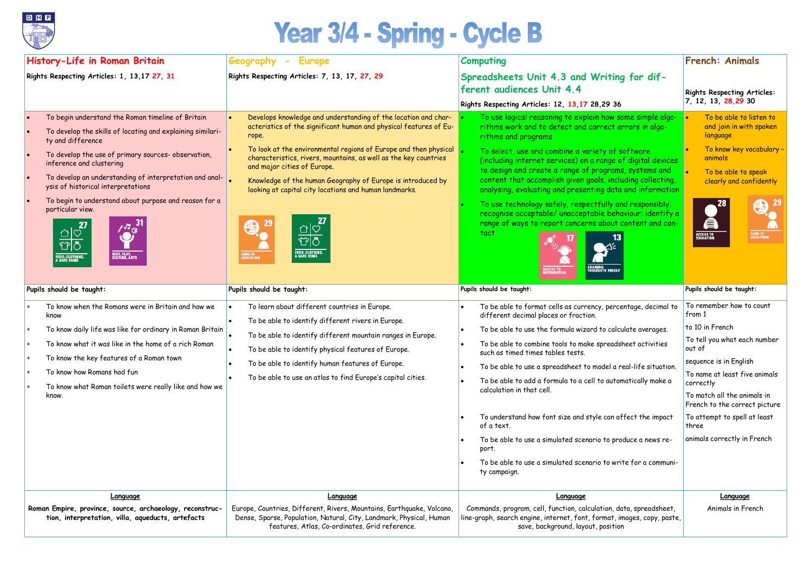

## Year 3/4 - Spring - Cycle B

| History-Life in Roman Britain<br><b>Computing</b><br>Geography<br><b>Europe</b><br>$\overline{\phantom{a}}$                                                                                                                                                                                                                                                                                                                                                                                                                                     |                                                                                                                                                                                                                                                                                                                                                                                                                                                                                                                                                                                                                        | <b>French: Animals</b>                                                                                                                                                                                                                                                                                                                                                                                                                                                                                                                                                                                                                                                                                                     |                                                                                                                                                                                                                                                                                                                 |
|-------------------------------------------------------------------------------------------------------------------------------------------------------------------------------------------------------------------------------------------------------------------------------------------------------------------------------------------------------------------------------------------------------------------------------------------------------------------------------------------------------------------------------------------------|------------------------------------------------------------------------------------------------------------------------------------------------------------------------------------------------------------------------------------------------------------------------------------------------------------------------------------------------------------------------------------------------------------------------------------------------------------------------------------------------------------------------------------------------------------------------------------------------------------------------|----------------------------------------------------------------------------------------------------------------------------------------------------------------------------------------------------------------------------------------------------------------------------------------------------------------------------------------------------------------------------------------------------------------------------------------------------------------------------------------------------------------------------------------------------------------------------------------------------------------------------------------------------------------------------------------------------------------------------|-----------------------------------------------------------------------------------------------------------------------------------------------------------------------------------------------------------------------------------------------------------------------------------------------------------------|
| Rights Respecting Articles: 1, 13,17 27, 31                                                                                                                                                                                                                                                                                                                                                                                                                                                                                                     | Rights Respecting Articles: 7, 13, 17, 27, 29                                                                                                                                                                                                                                                                                                                                                                                                                                                                                                                                                                          | Spreadsheets Unit 4.3 and Writing for dif-<br>ferent audiences Unit 4.4                                                                                                                                                                                                                                                                                                                                                                                                                                                                                                                                                                                                                                                    | <b>Rights Respecting Articles:</b>                                                                                                                                                                                                                                                                              |
|                                                                                                                                                                                                                                                                                                                                                                                                                                                                                                                                                 |                                                                                                                                                                                                                                                                                                                                                                                                                                                                                                                                                                                                                        | Rights Respecting Articles: 12, 13, 17 28, 29 36                                                                                                                                                                                                                                                                                                                                                                                                                                                                                                                                                                                                                                                                           | 7, 12, 13, 28, 29 30                                                                                                                                                                                                                                                                                            |
| To begin understand the Roman timeline of Britain<br>To develop the skills of locating and explaining similari-<br>ty and difference<br>To develop the use of primary sources- observation,<br>inference and clustering<br>To develop an understanding of interpretation and anal-<br>ysis of historical interpretations<br>To begin to understand about purpose and reason for a<br>particular view.<br>$\mathbf{\hat{C}}^{\circ}$<br>$\frac{\Omega}{\Omega}$<br><b>REST, PLAY,<br/>CULTURE, ARTS</b><br><b>FOOD, CLOTHING.</b><br>A SAFE HOME | Develops knowledge and understanding of the location and char-<br>acteristics of the significant human and physical features of Eu-<br>rope.<br>To look at the environmental regions of Europe and then physical<br>characteristics, rivers, mountains, as well as the key countries<br>and major cities of Europe.<br>Knowledge of the human Geography of Europe is introduced by<br>looking at capital city locations and human landmarks.<br>$\begin{array}{c}\n\mathbf{1} & \mathbf{27} \\ \hline\n\mathbf{1} & \mathbf{0}\n\end{array}$<br><b>FOOD, CLOTHING,<br/>A SAFE HOME</b><br><b>AIMS OF<br/>Education</b> | To use logical reasoning to explain how some simple algo-<br>rithms work and to detect and correct errors in algo-<br>rithms and programs<br>To select, use and combine a variety of software<br>(including internet services) on a range of digital devices<br>to design and create a range of programs, systems and<br>content that accomplish given goals, including collecting,<br>analysing, evaluating and presenting data and information<br>To use technology safely, respectfully and responsibly;<br>recognise acceptable/ unacceptable behaviour; identify a<br>range of ways to report concerns about content and con-<br>tact<br>SHAR <mark>i</mark> ng<br>Thoughts freely<br><b>\CCESS TO<br/>NFORMATIOI</b> | To be able to listen to<br>and join in with spoken<br>language<br>To know key vocabulary -<br>animals<br>To be able to speak<br>clearly and confidently<br>53<br>Á<br>AIMS OF<br>EDUCATION<br><b>ACCESS TO</b><br>EDUCATION                                                                                     |
| Pupils should be taught:                                                                                                                                                                                                                                                                                                                                                                                                                                                                                                                        | Pupils should be taught:                                                                                                                                                                                                                                                                                                                                                                                                                                                                                                                                                                                               | Pupils should be taught:                                                                                                                                                                                                                                                                                                                                                                                                                                                                                                                                                                                                                                                                                                   | Pupils should be taught:                                                                                                                                                                                                                                                                                        |
| To know when the Romans were in Britain and how we<br>know<br>To know daily life was like for ordinary in Roman Britain<br>To know what it was like in the home of a rich Roman<br>To know the key features of a Roman town<br>To know how Romans had fun<br>To know what Roman toilets were really like and how we<br>know.                                                                                                                                                                                                                    | To learn about different countries in Europe.<br>To be able to identify different rivers in Europe.<br>To be able to identify different mountain ranges in Europe.<br>To be able to identify physical features of Europe.<br>To be able to identify human features of Europe.<br>To be able to use an atlas to find Europe's capital cities.                                                                                                                                                                                                                                                                           | To be able to format cells as currency, percentage, decimal to<br>different decimal places or fraction.<br>To be able to use the formula wizard to calculate averages.<br>To be able to combine tools to make spreadsheet activities<br>such as timed times tables tests.<br>To be able to use a spreadsheet to model a real-life situation.<br>To be able to add a formula to a cell to automatically make a<br>calculation in that cell.<br>To understand how font size and style can affect the impact<br>of a text.<br>To be able to use a simulated scenario to produce a news re-<br>port.<br>To be able to use a simulated scenario to write for a communi-<br>ty campaign.                                         | To remember how to count<br>from 1<br>to 10 in French<br>To tell you what each number<br>out of<br>sequence is in English<br>To name at least five animals<br>correctly<br>To match all the animals in<br>French to the correct picture<br>To attempt to spell at least<br>three<br>animals correctly in French |
| Language                                                                                                                                                                                                                                                                                                                                                                                                                                                                                                                                        | Language                                                                                                                                                                                                                                                                                                                                                                                                                                                                                                                                                                                                               | Language                                                                                                                                                                                                                                                                                                                                                                                                                                                                                                                                                                                                                                                                                                                   | Language                                                                                                                                                                                                                                                                                                        |
| Roman Empire, province, source, archaeology, reconstruc-<br>tion, interpretation, villa, aqueducts, artefacts                                                                                                                                                                                                                                                                                                                                                                                                                                   | Europe, Countries, Different, Rivers, Mountains, Earthquake, Volcano,<br>Dense, Sparse, Population, Natural, City, Landmark, Physical, Human<br>features, Atlas, Co-ordinates, Grid reference.                                                                                                                                                                                                                                                                                                                                                                                                                         | Commands, program, cell, function, calculation, data, spreadsheet,<br>line-graph, search engine, internet, font, format, images, copy, paste,<br>save, background, layout, position                                                                                                                                                                                                                                                                                                                                                                                                                                                                                                                                        | Animals in French                                                                                                                                                                                                                                                                                               |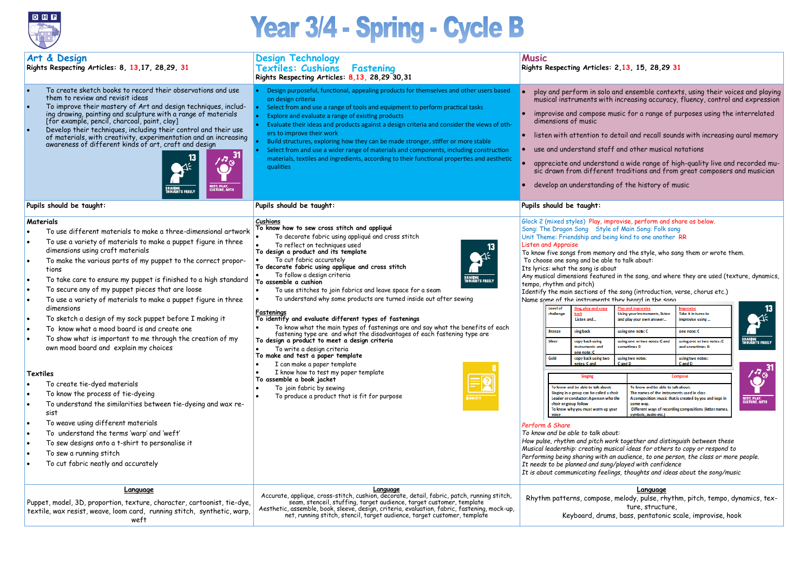

# Year 3/4 - Spring - Cycle B

## **Rights Respecting Articles: 2,13, 15, 28,29 31**

nd ensemble contexts, using their voices and playing increasing accuracy, fluency, control and expression  $\,$ 

isic for a range of purposes using the interrelated

etail and recall sounds with increasing aural memory

and other musical notations

d a wide range of high-quality live and recorded mutraditions and from great composers and musician

of the history of music

rovise, perform and share as below. of Main Song: Folk song g kind to one another RR

and the style, who sang them or wrote them. to talk about:

in the song, and where they are used (texture, dynamics,

Play and improvise Take it in turns to **Using your instruments, listen** and play your own answer... improvise using... using one note: C one note: C using one or two notes: C and using one or two notes: C sometimes D and sometimes D using two notes: using two notes: C and D Cand D Compose To know and be able to talk about: The names of the instruments used in class A composition: music that is created by you and kept in 'n some way. Different ways of recording compositions (letter name: symbols, audio etc.)

e song (introduction, verse, chorus etc.) hev heard in the song





|           | Art & Design<br>Rights Respecting Articles: 8, 13,17, 28,29, 31                                                                                                                                                                                                                                                                                                                                                                                                                                                                                                                                                                                                                                                                                                                                                                                                                                                                                                                                                                                       | <b>Design Technology</b><br><b>Textiles: Cushions</b><br>Fastening<br>Rights Respecting Articles: 8,13, 28,29 30,31                                                                                                                                                                                                                                                                                                                                                                                                                                                                                                                                                                                                                                                                                                                                                                                                                                                                                                                                                           | <b>Music</b><br>Rights Respecting Articles: 2                                                                                                                                                                                                                                                                                                                                                                                                                                                                                                                                                                                                                                                                                                    |                                                                                                                                                                                                                                                                                                                             |
|-----------|-------------------------------------------------------------------------------------------------------------------------------------------------------------------------------------------------------------------------------------------------------------------------------------------------------------------------------------------------------------------------------------------------------------------------------------------------------------------------------------------------------------------------------------------------------------------------------------------------------------------------------------------------------------------------------------------------------------------------------------------------------------------------------------------------------------------------------------------------------------------------------------------------------------------------------------------------------------------------------------------------------------------------------------------------------|-------------------------------------------------------------------------------------------------------------------------------------------------------------------------------------------------------------------------------------------------------------------------------------------------------------------------------------------------------------------------------------------------------------------------------------------------------------------------------------------------------------------------------------------------------------------------------------------------------------------------------------------------------------------------------------------------------------------------------------------------------------------------------------------------------------------------------------------------------------------------------------------------------------------------------------------------------------------------------------------------------------------------------------------------------------------------------|--------------------------------------------------------------------------------------------------------------------------------------------------------------------------------------------------------------------------------------------------------------------------------------------------------------------------------------------------------------------------------------------------------------------------------------------------------------------------------------------------------------------------------------------------------------------------------------------------------------------------------------------------------------------------------------------------------------------------------------------------|-----------------------------------------------------------------------------------------------------------------------------------------------------------------------------------------------------------------------------------------------------------------------------------------------------------------------------|
|           | To create sketch books to record their observations and use<br>them to review and revisit ideas<br>To improve their mastery of Art and design techniques, includ-<br>ing drawing, painting and sculpture with a range of materials<br>[for example, pencil, charcoal, paint, clay]<br>Develop their techniques, including their control and their use<br>of materials, with creativity, experimentation and an increasing<br>awareness of different kinds of art, craft and design<br>4.7 <sup>31</sup><br><b>REST, PLAY,<br/>CULTURE, ARTS</b><br><b>IOUGHTS FREELY</b>                                                                                                                                                                                                                                                                                                                                                                                                                                                                              | Design purposeful, functional, appealing products for themselves and other users based<br>on design criteria<br>Select from and use a range of tools and equipment to perform practical tasks<br>Explore and evaluate a range of existing products<br>Evaluate their ideas and products against a design criteria and consider the views of oth-<br>ers to improve their work<br>Build structures, exploring how they can be made stronger, stiffer or more stable<br>Select from and use a wider range of materials and components, including construction<br>materials, textiles and ingredients, according to their functional properties and aesthetic<br>qualities                                                                                                                                                                                                                                                                                                                                                                                                       | dimensions of music                                                                                                                                                                                                                                                                                                                                                                                                                                                                                                                                                                                                                                                                                                                              | play and perform in solo an<br>musical instruments with ir<br>improvise and compose mus<br>listen with attention to det<br>use and understand staff a<br>appreciate and understand<br>sic drawn from different t<br>develop an understanding o                                                                              |
|           | Pupils should be taught:                                                                                                                                                                                                                                                                                                                                                                                                                                                                                                                                                                                                                                                                                                                                                                                                                                                                                                                                                                                                                              | Pupils should be taught:                                                                                                                                                                                                                                                                                                                                                                                                                                                                                                                                                                                                                                                                                                                                                                                                                                                                                                                                                                                                                                                      | Pupils should be taught:                                                                                                                                                                                                                                                                                                                                                                                                                                                                                                                                                                                                                                                                                                                         |                                                                                                                                                                                                                                                                                                                             |
| $\bullet$ | Materials<br>To use different materials to make a three-dimensional artwork<br>To use a variety of materials to make a puppet figure in three<br>dimensions using craft materials<br>To make the various parts of my puppet to the correct propor-<br>tions<br>To take care to ensure my puppet is finished to a high standard<br>To secure any of my puppet pieces that are loose<br>To use a variety of materials to make a puppet figure in three<br>dimensions<br>To sketch a design of my sock puppet before I making it<br>To know what a mood board is and create one<br>To show what is important to me through the creation of my<br>own mood board and explain my choices<br>Textiles<br>To create tie-dyed materials<br>To know the process of tie-dyeing<br>To understand the similarities between tie-dyeing and wax re-<br>sist<br>To weave using different materials<br>To understand the terms 'warp' and 'weft'<br>To sew designs onto a t-shirt to personalise it<br>To sew a running stitch<br>To cut fabric neatly and accurately | Cushions<br>To know how to sew cross stitch and appliqué<br>To decorate fabric using appliqué and cross stitch<br>To reflect on techniques used<br>To design a product and its template<br>אַ∠<br>To cut fabric accurately<br>To decorate fabric using applique and cross stitch<br>To follow a design criteria<br>SHARING<br>THOUGHTS FREELY<br>To assemble a cushion<br>To use stitches to join fabrics and leave space for a seam<br>$\bullet$<br>To understand why some products are turned inside out after sewing<br>Fastenings<br>To identify and evaluate different types of fastenings<br>To know what the main types of fastenings are and say what the benefits of each<br>fastening type are and what the disadvantages of each fastening type are<br>To design a product to meet a design criteria<br>To write a design criteria<br>To make and test a paper template<br>I can make a paper template<br>I know how to test my paper template<br>To assemble a book jacket<br>To join fabric by sewing<br>To produce a product that is fit for purpose<br>DENTITY | Glock 2 (mixed styles) Play, impro<br>Song: The Dragon Song Style of<br>Unit Theme: Friendship and being<br><b>Listen and Appraise</b><br>To know five songs from memory o<br>To choose one song and be able to<br>Its lyrics: what the song is about<br>Any musical dimensions featured in<br>tempo, rhythm and pitch)<br>Identify the main sections of the<br>Name some of the instruments the<br><b>Level of</b><br>challenge<br><b>Bronze</b><br>Silver<br>Gold<br>choir or group follow<br>Perform & Share<br>To know and be able to talk about:<br>How pulse, rhythm and pitch work<br>Musical leadership: creating music<br>Performing being sharing with an a<br>It needs to be planned and sung/p<br>It is about communicating feelings | ing, play and copy<br>Listen and<br>sing back<br>copy back using<br>instruments and<br>one note: C<br>copy back using two<br>notes: C and<br><b>Singing</b><br>To know and be able to talk about:<br>Singing in a group can be called a choir<br>Leader or conductor: A person who the<br>To know why you must warm up your |
|           | <b>Language</b><br>Puppet, model, 3D, proportion, texture, character, cartoonist, tie-dye,<br>textile, wax resist, weave, loom card, running stitch, synthetic, warp,<br>weft                                                                                                                                                                                                                                                                                                                                                                                                                                                                                                                                                                                                                                                                                                                                                                                                                                                                         | Language<br>Accurate, applique, cross-stitch, cushion, decorate, detail, fabric, patch, running stitch,<br>seam, stenceil, stuffing, target audience, target customer, template<br>Aesthetic, assemble, book, sleeve, design, criteria, evaluation, fabric, fastening, mock-up,<br>net, running stitch, stencil, target audience, target customer, template                                                                                                                                                                                                                                                                                                                                                                                                                                                                                                                                                                                                                                                                                                                   |                                                                                                                                                                                                                                                                                                                                                                                                                                                                                                                                                                                                                                                                                                                                                  | Rhythm patterns, compose, m<br>Keyboard, drums,                                                                                                                                                                                                                                                                             |

melody, pulse, rhythm, pitch, tempo, dynamics, texture, structure,

, bass, pentatonic scale, improvise, hook

*How pulse, rhythm and pitch work together and distinguish between these Musical leadership: creating musical ideas for others to copy or respond to* audience, to one person, the class or more people. *It needs to be planned and sung/played with confidence It is about communicating feelings, thoughts and ideas about the song/music*

## **Language**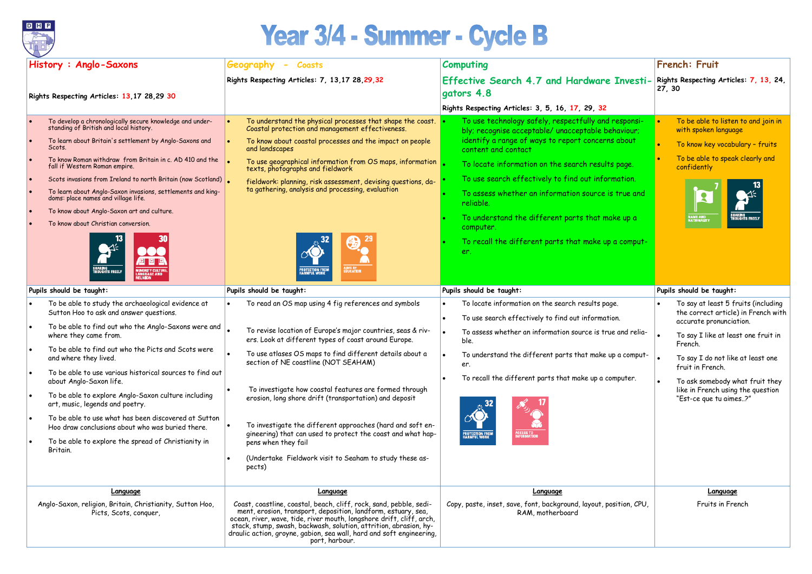

## Year 3/4 - Summer - Cycle B

| History: Anglo-Saxons                                                                                                                                                                                                                                                                                                                                                                                                                                                                                                                                                                                                          | Geography<br><b>Coasts</b><br>$\overline{\phantom{0}}$                                                                                                                                                                                                                                                                                                                                                                                                                                                                                                                                                                       | <b>Computing</b>                                                                                                                                                                                                                                                                                                                                                                                                                                                                                      | French: Fruit                                                                                                                                                                                                                                                                                                      |
|--------------------------------------------------------------------------------------------------------------------------------------------------------------------------------------------------------------------------------------------------------------------------------------------------------------------------------------------------------------------------------------------------------------------------------------------------------------------------------------------------------------------------------------------------------------------------------------------------------------------------------|------------------------------------------------------------------------------------------------------------------------------------------------------------------------------------------------------------------------------------------------------------------------------------------------------------------------------------------------------------------------------------------------------------------------------------------------------------------------------------------------------------------------------------------------------------------------------------------------------------------------------|-------------------------------------------------------------------------------------------------------------------------------------------------------------------------------------------------------------------------------------------------------------------------------------------------------------------------------------------------------------------------------------------------------------------------------------------------------------------------------------------------------|--------------------------------------------------------------------------------------------------------------------------------------------------------------------------------------------------------------------------------------------------------------------------------------------------------------------|
| Rights Respecting Articles: 13,17 28,29 30                                                                                                                                                                                                                                                                                                                                                                                                                                                                                                                                                                                     | Rights Respecting Articles: 7, 13,17 28, 29, 32                                                                                                                                                                                                                                                                                                                                                                                                                                                                                                                                                                              | Effective Search 4.7 and Hardware Investi-<br>gators 4.8                                                                                                                                                                                                                                                                                                                                                                                                                                              | Rights Respecting Articles: 7, 13, 24,<br> 27, 30                                                                                                                                                                                                                                                                  |
|                                                                                                                                                                                                                                                                                                                                                                                                                                                                                                                                                                                                                                |                                                                                                                                                                                                                                                                                                                                                                                                                                                                                                                                                                                                                              | Rights Respecting Articles: 3, 5, 16, 17, 29, 32                                                                                                                                                                                                                                                                                                                                                                                                                                                      |                                                                                                                                                                                                                                                                                                                    |
| To develop a chronologically secure knowledge and under-<br>standing of British and local history.<br>To learn about Britain's settlement by Anglo-Saxons and<br>Scots.<br>To know Roman withdraw from Britain in c. AD 410 and the<br>fall if Western Roman empire.<br>Scots invasions from Ireland to north Britain (now Scotland)<br>To learn about Anglo-Saxon invasions, settlements and king-<br>doms: place names and village life.<br>To know about Anglo-Saxon art and culture.<br>To know about Christian conversion.                                                                                                | To understand the physical processes that shape the coast.<br>Coastal protection and management effectiveness.<br>To know about coastal processes and the impact on people<br>and landscapes<br>To use geographical information from OS maps, information<br>texts, photographs and fieldwork<br>fieldwork: planning, risk assessment, devising questions, da-<br>ta gathering, analysis and processing, evaluation<br>AIMS OF<br>Education<br><b>PROTECTION FROM</b><br>HARMFUL WORK                                                                                                                                        | To use technology safely, respectfully and responsi-<br>bly; recognise acceptable/ unacceptable behaviour;<br>identify a range of ways to report concerns about<br>content and contact<br>To locate information on the search results page.<br>To use search effectively to find out information.<br>To assess whether an information source is true and<br>reliable.<br>To understand the different parts that make up a<br>computer.<br>To recall the different parts that make up a comput-<br>er. | To be able to listen to and join in<br>with spoken language<br>To know key vocabulary - fruits<br>To be able to speak clearly and<br>confidently<br><b>NAME AND<br/>NATIONALITY</b>                                                                                                                                |
| Pupils should be taught:                                                                                                                                                                                                                                                                                                                                                                                                                                                                                                                                                                                                       | Pupils should be taught:                                                                                                                                                                                                                                                                                                                                                                                                                                                                                                                                                                                                     | Pupils should be taught:                                                                                                                                                                                                                                                                                                                                                                                                                                                                              | Pupils should be taught:                                                                                                                                                                                                                                                                                           |
| To be able to study the archaeological evidence at<br>Sutton Hoo to ask and answer questions.<br>To be able to find out who the Anglo-Saxons were and<br>where they came from.<br>To be able to find out who the Picts and Scots were<br>and where they lived.<br>To be able to use various historical sources to find out<br>about Anglo-Saxon life.<br>To be able to explore Anglo-Saxon culture including<br>art, music, legends and poetry.<br>To be able to use what has been discovered at Sutton<br>Hoo draw conclusions about who was buried there.<br>To be able to explore the spread of Christianity in<br>Britain. | To read an OS map using 4 fig references and symbols<br>To revise location of Europe's major countries, seas & riv-<br>ers. Look at different types of coast around Europe.<br>To use atlases OS maps to find different details about a<br>section of NE coastline (NOT SEAHAM)<br>To investigate how coastal features are formed through<br>erosion, long shore drift (transportation) and deposit<br>To investigate the different approaches (hard and soft en-<br>gineering) that can used to protect the coast and what hap-<br>pens when they fail<br>(Undertake Fieldwork visit to Seaham to study these as-<br>pects) | To locate information on the search results page.<br>To use search effectively to find out information.<br>To assess whether an information source is true and relia-<br>ble.<br>To understand the different parts that make up a comput-<br>er.<br>To recall the different parts that make up a computer.<br>×Õ<br><b>PROTECTION FROM</b><br>HARMFUL WORK<br><b>ACCESS TO<br/>INFORMATION</b>                                                                                                        | To say at least 5 fruits (including<br>the correct article) in French with<br>accurate pronunciation.<br>To say I like at least one fruit in<br>French.<br>To say I do not like at least one<br>fruit in French.<br>To ask somebody what fruit they<br>like in French using the question<br>"Est-ce que tu aimes?" |
| <b>Language</b>                                                                                                                                                                                                                                                                                                                                                                                                                                                                                                                                                                                                                | <b>Language</b>                                                                                                                                                                                                                                                                                                                                                                                                                                                                                                                                                                                                              | <b>Language</b>                                                                                                                                                                                                                                                                                                                                                                                                                                                                                       | Language                                                                                                                                                                                                                                                                                                           |
| Anglo-Saxon, religion, Britain, Christianity, Sutton Hoo,<br>Picts, Scots, conquer,                                                                                                                                                                                                                                                                                                                                                                                                                                                                                                                                            | Coast, coastline, coastal, beach, cliff, rock, sand, pebble, sedi-<br>ment, erosion, transport, deposition, landform, estuary, sea,<br>ocean, river, wave, tide, river mouth, longshore drift, cliff, arch,<br>stack, stump, swash, backwash, solution, attrition, abrasion, hy-<br>draulic action, groyne, gabion, sea wall, hard and soft engineering,<br>port, harbour.                                                                                                                                                                                                                                                   | Copy, paste, inset, save, font, background, layout, position, CPU,<br>RAM, motherboard                                                                                                                                                                                                                                                                                                                                                                                                                | Fruits in French                                                                                                                                                                                                                                                                                                   |